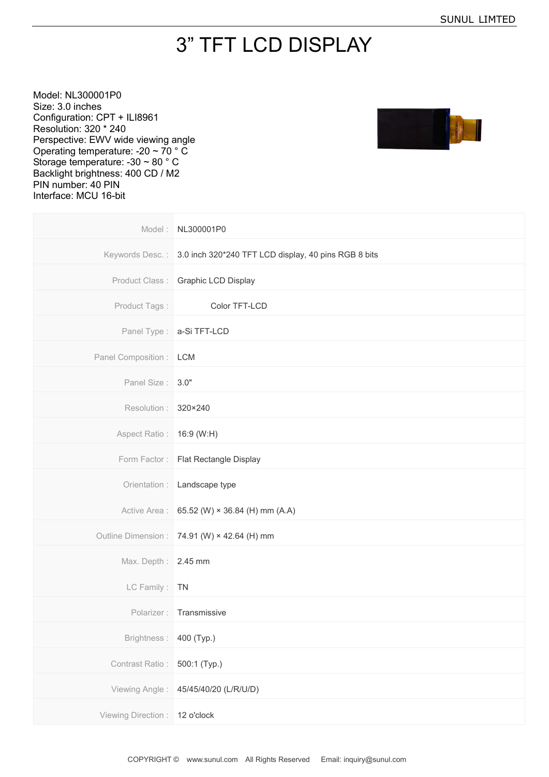## 3" TFT LCD DISPLAY

Model: NL300001P0 Size: 3.0 inches Configuration: CPT + ILI8961 Resolution: 320 \* 240 Perspective: EWV wide viewing angle Operating temperature: -20 ~ 70 ° C Storage temperature: -30 ~ 80 ° C Backlight brightness: 400 CD / M2 PIN number: 40 PIN Interface: MCU 16-bit



|                               | Model: NL300001P0                                                    |
|-------------------------------|----------------------------------------------------------------------|
|                               | Keywords Desc.: 3.0 inch 320*240 TFT LCD display, 40 pins RGB 8 bits |
|                               | Product Class: Graphic LCD Display                                   |
|                               | Product Tags: Color TFT-LCD                                          |
|                               | Panel Type:   a-Si TFT-LCD                                           |
| Panel Composition : LCM       |                                                                      |
| Panel Size: 3.0"              |                                                                      |
| Resolution: 320×240           |                                                                      |
| Aspect Ratio: 16:9 (W:H)      |                                                                      |
|                               | Form Factor: Flat Rectangle Display                                  |
|                               | Orientation : Landscape type                                         |
|                               | Active Area: 65.52 (W) × 36.84 (H) mm (A.A)                          |
|                               | Outline Dimension: 74.91 (W) × 42.64 (H) mm                          |
| Max. Depth: 2.45 mm           |                                                                      |
| LC Family: TN                 |                                                                      |
|                               | Polarizer: Transmissive                                              |
| Brightness: 400 (Typ.)        |                                                                      |
| Contrast Ratio: 500:1 (Typ.)  |                                                                      |
|                               | Viewing Angle: 45/45/40/20 (L/R/U/D)                                 |
| Viewing Direction: 12 o'clock |                                                                      |